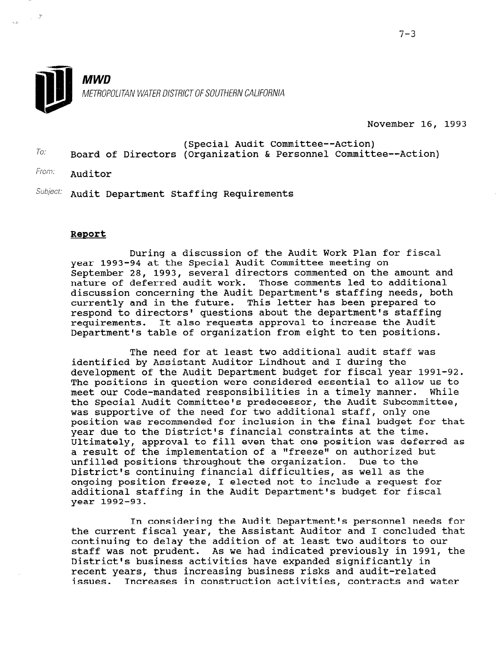November 16, 1993

- $T_0$ . (Special Audit Committee--Action) Board of Directors (Organization & Personnel Committee--Action)
- From: **Auditor**

 $\gamma_{\rm eff}$  ,  $N$ 

 $\sqrt{2}$ 

 $Subject:$  Audit Department Staffing Requirements

#### Report

During a discussion of the Audit Work Plan for fiscal year 1993-94 at the Special Audit Committee meeting on September 28, 1993, several directors commented on the amount and nature of deferred audit work. Those comments led to additional discussion concerning the Audit Department's staffing needs, both currently and in the future. This letter has been prepared to respond to directors' questions about the department's staffing requirements. It also requests approval to increase the Audit Department's table of organization from eight to ten positions.

The need for at least two additional audit staff was identified by Assistant Auditor Lindhout and I during the development of the Audit Department budget for fiscal year 1991-92. The positions in question were considered essential to allow us to meet our Code-mandated responsibilities in a timely manner. While the Special Audit Committee's predecessor, the Audit Subcommittee, was supportive of the need for two additional staff, only one position was recommended for inclusion in the final budget for that year due to the District's financial constraints at the time. Ultimately, approval to fill even that one position was deferred as oftimately, approval to fill even that one position was deferred<br>a result of the implementation of a lifreezel on authorized but unfilled positions throughout the organization. Due to the unfilled positions throughout the organization. Due to the District's continuing financial difficulties, as well as the ongoing position freeze, I elected not to include a request for ongoing position fleeze, i efected not to include a request f<br>additional ataffing in the Audit Department's budget for fisc year 1992-93.

In considering the Audit Department's personnel needs for In CONSIDETING the AUDIT Department's personnel needs to the current fiscal year, the assistant Auditor and I concluded t continuing to delay the addition of at least two auditors to our staff was not prudent. As we had indicated previously in 1991, the District's business activities have expanded significantly in recent years, thus increasing business risks and audit-related<br>issues. Increases in construction activities, contracts and water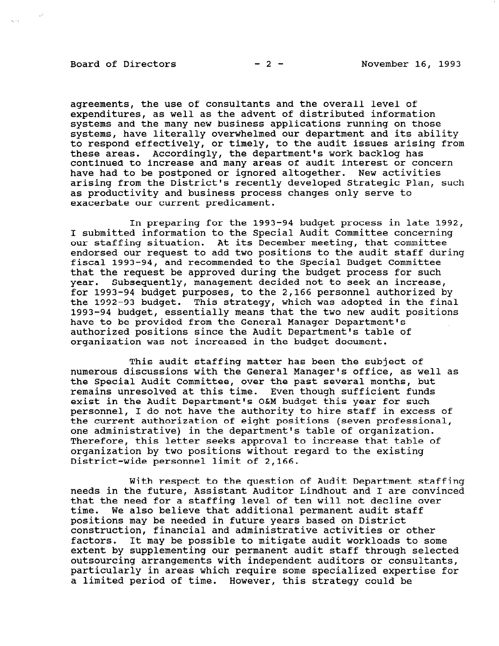# Board of Directors  $-2-$  November 16, 1993

 $\tilde{q}_1 \rightarrow q_2$  .

agreements, the use of consultants and the overall level of expenditures, as well as the advent of distributed information systems and the many new business applications running on those systems, have literally overwhelmed our department and its ability to respond effectively, or timely, to the audit issues arising from these areas. Accordingly, the department's work backlog has continued to increase and many areas of audit interest or concern have had to be postponed or ignored altogether. New activities arising from the District's recently developed Strategic Plan, such as productivity and business process changes only serve to exacerbate our current predicament.

In preparing for the 1993-94 budget process in late 1992, I submitted information to the Special Audit Committee concerning our staffing situation. At its December meeting, that committee endorsed our request to add two positions to the audit staff during fiscal 1993-94, and recommended to the Special Budget Committee that the request be approved during the budget process for such year. Subsequently, management decided not to seek an increase, for 1993-94 budget purposes, to the 2,166 personnel authorized by the 1992-93 budget. This strategy, which was adopted in the final 1993-94 budget, essentially means that the two new audit positions have to be provided from the General Manager Department's authorized positions since the Audit Department's table of organization was not increased in the budget document.

This audit staffing matter has been the subject of numerous discussions with the General Manager's office, as well as the Special Audit Committee, over the past several months, but remains unresolved at this time. Even though sufficient funds exist in the Audit Department's O&M budget this year for such personnel, I do not have the authority to hire staff in excess of the current authorization of eight positions (seven professional, one administrative) in the department's table of organization. Therefore, this letter seeks approval to increase that table of organization by two positions without regard to the existing District-wide personnel limit of 2,166.

With respect to the question of Audit Department staffing needs in the future, Assistant Auditor Lindhout and I are convinced that the need for a staffing level of ten will not decline over that the need for a staffing fever of ten will not decline positions met de needed in future years based on District positions may be needed in future years based on bistrict.<br>construction, financial and administrative activities or other construction, financial and administrative activities or other<br>factors. It may be possible to mitigate audit workloads to some extent by supplementing our permanent audit staff through select outsourcing arrangements with independent and it cultural selections are consulted and consultants, and consultants, and consultants, and consultants, and consultants, and consultants, and consultants, and consultants, and outsourcing arrangements with independent auditors or consultants. particularly in areas which require some specialized expertise for<br>a limited period of time. However, this strategy could be